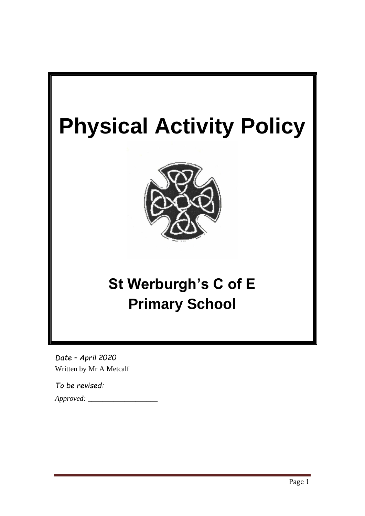

*Date – April 2020* Written by Mr A Metcalf

*To be revised:* 

*Approved: \_\_\_\_\_\_\_\_\_\_\_\_\_\_\_\_\_\_\_*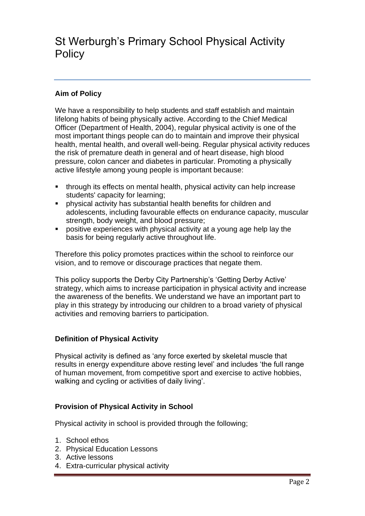# St Werburgh's Primary School Physical Activity **Policy**

# **Aim of Policy**

We have a responsibility to help students and staff establish and maintain lifelong habits of being physically active. According to the Chief Medical Officer (Department of Health, 2004), regular physical activity is one of the most important things people can do to maintain and improve their physical health, mental health, and overall well-being. Regular physical activity reduces the risk of premature death in general and of heart disease, high blood pressure, colon cancer and diabetes in particular. Promoting a physically active lifestyle among young people is important because:

- through its effects on mental health, physical activity can help increase students' capacity for learning;
- physical activity has substantial health benefits for children and adolescents, including favourable effects on endurance capacity, muscular strength, body weight, and blood pressure;
- positive experiences with physical activity at a young age help lay the basis for being regularly active throughout life.

Therefore this policy promotes practices within the school to reinforce our vision, and to remove or discourage practices that negate them.

This policy supports the Derby City Partnership's 'Getting Derby Active' strategy, which aims to increase participation in physical activity and increase the awareness of the benefits. We understand we have an important part to play in this strategy by introducing our children to a broad variety of physical activities and removing barriers to participation.

# **Definition of Physical Activity**

Physical activity is defined as 'any force exerted by skeletal muscle that results in energy expenditure above resting level' and includes 'the full range of human movement, from competitive sport and exercise to active hobbies, walking and cycling or activities of daily living'.

# **Provision of Physical Activity in School**

Physical activity in school is provided through the following;

- 1. School ethos
- 2. Physical Education Lessons
- 3. Active lessons
- 4. Extra-curricular physical activity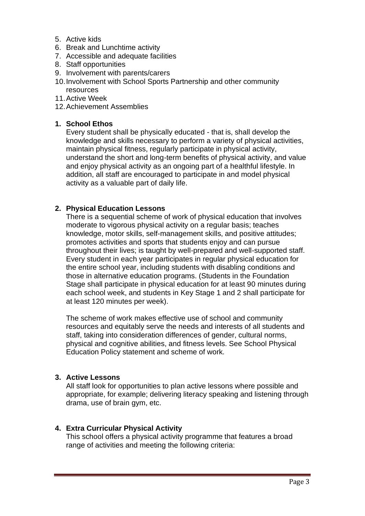- 5. Active kids
- 6. Break and Lunchtime activity
- 7. Accessible and adequate facilities
- 8. Staff opportunities
- 9. Involvement with parents/carers
- 10.Involvement with School Sports Partnership and other community resources
- 11.Active Week
- 12.Achievement Assemblies

#### **1. School Ethos**

Every student shall be physically educated - that is, shall develop the knowledge and skills necessary to perform a variety of physical activities, maintain physical fitness, regularly participate in physical activity, understand the short and long-term benefits of physical activity, and value and enjoy physical activity as an ongoing part of a healthful lifestyle. In addition, all staff are encouraged to participate in and model physical activity as a valuable part of daily life.

#### **2. Physical Education Lessons**

There is a sequential scheme of work of physical education that involves moderate to vigorous physical activity on a regular basis; teaches knowledge, motor skills, self-management skills, and positive attitudes; promotes activities and sports that students enjoy and can pursue throughout their lives; is taught by well-prepared and well-supported staff. Every student in each year participates in regular physical education for the entire school year, including students with disabling conditions and those in alternative education programs. (Students in the Foundation Stage shall participate in physical education for at least 90 minutes during each school week, and students in Key Stage 1 and 2 shall participate for at least 120 minutes per week).

The scheme of work makes effective use of school and community resources and equitably serve the needs and interests of all students and staff, taking into consideration differences of gender, cultural norms, physical and cognitive abilities, and fitness levels. See School Physical Education Policy statement and scheme of work.

#### **3. Active Lessons**

All staff look for opportunities to plan active lessons where possible and appropriate, for example; delivering literacy speaking and listening through drama, use of brain gym, etc.

## **4. Extra Curricular Physical Activity**

This school offers a physical activity programme that features a broad range of activities and meeting the following criteria: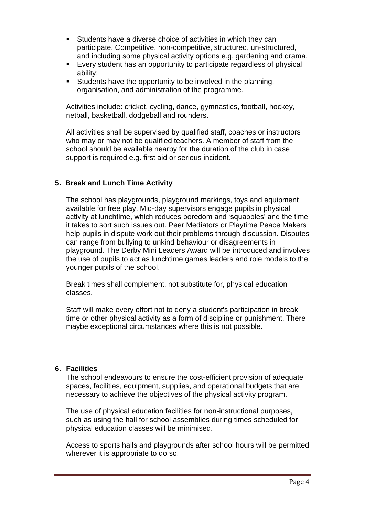- Students have a diverse choice of activities in which they can participate. Competitive, non-competitive, structured, un-structured, and including some physical activity options e.g. gardening and drama.
- Every student has an opportunity to participate regardless of physical ability;
- Students have the opportunity to be involved in the planning, organisation, and administration of the programme.

Activities include: cricket, cycling, dance, gymnastics, football, hockey, netball, basketball, dodgeball and rounders.

All activities shall be supervised by qualified staff, coaches or instructors who may or may not be qualified teachers. A member of staff from the school should be available nearby for the duration of the club in case support is required e.g. first aid or serious incident.

## **5. Break and Lunch Time Activity**

The school has playgrounds, playground markings, toys and equipment available for free play. Mid-day supervisors engage pupils in physical activity at lunchtime, which reduces boredom and 'squabbles' and the time it takes to sort such issues out. Peer Mediators or Playtime Peace Makers help pupils in dispute work out their problems through discussion. Disputes can range from bullying to unkind behaviour or disagreements in playground. The Derby Mini Leaders Award will be introduced and involves the use of pupils to act as lunchtime games leaders and role models to the younger pupils of the school.

Break times shall complement, not substitute for, physical education classes.

Staff will make every effort not to deny a student's participation in break time or other physical activity as a form of discipline or punishment. There maybe exceptional circumstances where this is not possible.

#### **6. Facilities**

The school endeavours to ensure the cost-efficient provision of adequate spaces, facilities, equipment, supplies, and operational budgets that are necessary to achieve the objectives of the physical activity program.

The use of physical education facilities for non-instructional purposes, such as using the hall for school assemblies during times scheduled for physical education classes will be minimised.

Access to sports halls and playgrounds after school hours will be permitted wherever it is appropriate to do so.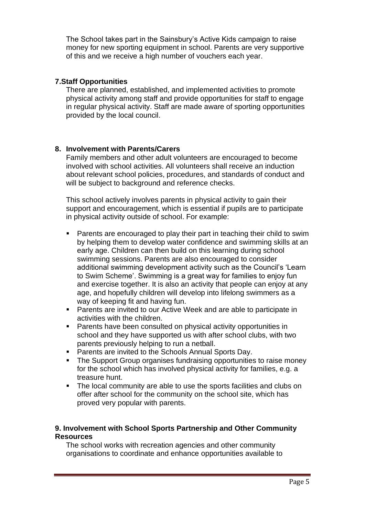The School takes part in the Sainsbury's Active Kids campaign to raise money for new sporting equipment in school. Parents are very supportive of this and we receive a high number of vouchers each year.

## **7.Staff Opportunities**

There are planned, established, and implemented activities to promote physical activity among staff and provide opportunities for staff to engage in regular physical activity. Staff are made aware of sporting opportunities provided by the local council.

# **8. Involvement with Parents/Carers**

Family members and other adult volunteers are encouraged to become involved with school activities. All volunteers shall receive an induction about relevant school policies, procedures, and standards of conduct and will be subject to background and reference checks.

This school actively involves parents in physical activity to gain their support and encouragement, which is essential if pupils are to participate in physical activity outside of school. For example:

- Parents are encouraged to play their part in teaching their child to swim by helping them to develop water confidence and swimming skills at an early age. Children can then build on this learning during school swimming sessions. Parents are also encouraged to consider additional swimming development activity such as the Council's 'Learn to Swim Scheme'. Swimming is a great way for families to enjoy fun and exercise together. It is also an activity that people can enjoy at any age, and hopefully children will develop into lifelong swimmers as a way of keeping fit and having fun.
- Parents are invited to our Active Week and are able to participate in activities with the children.
- Parents have been consulted on physical activity opportunities in school and they have supported us with after school clubs, with two parents previously helping to run a netball.
- Parents are invited to the Schools Annual Sports Day.
- The Support Group organises fundraising opportunities to raise money for the school which has involved physical activity for families, e.g. a treasure hunt.
- The local community are able to use the sports facilities and clubs on offer after school for the community on the school site, which has proved very popular with parents.

## **9. Involvement with School Sports Partnership and Other Community Resources**

The school works with recreation agencies and other community organisations to coordinate and enhance opportunities available to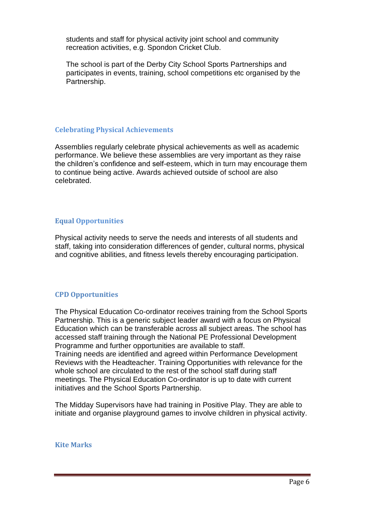students and staff for physical activity joint school and community recreation activities, e.g. Spondon Cricket Club.

The school is part of the Derby City School Sports Partnerships and participates in events, training, school competitions etc organised by the Partnership.

#### **Celebrating Physical Achievements**

Assemblies regularly celebrate physical achievements as well as academic performance. We believe these assemblies are very important as they raise the children's confidence and self-esteem, which in turn may encourage them to continue being active. Awards achieved outside of school are also celebrated.

## **Equal Opportunities**

Physical activity needs to serve the needs and interests of all students and staff, taking into consideration differences of gender, cultural norms, physical and cognitive abilities, and fitness levels thereby encouraging participation.

## **CPD Opportunities**

The Physical Education Co-ordinator receives training from the School Sports Partnership. This is a generic subject leader award with a focus on Physical Education which can be transferable across all subject areas. The school has accessed staff training through the National PE Professional Development Programme and further opportunities are available to staff. Training needs are identified and agreed within Performance Development Reviews with the Headteacher. Training Opportunities with relevance for the whole school are circulated to the rest of the school staff during staff meetings. The Physical Education Co-ordinator is up to date with current initiatives and the School Sports Partnership.

The Midday Supervisors have had training in Positive Play. They are able to initiate and organise playground games to involve children in physical activity.

#### **Kite Marks**